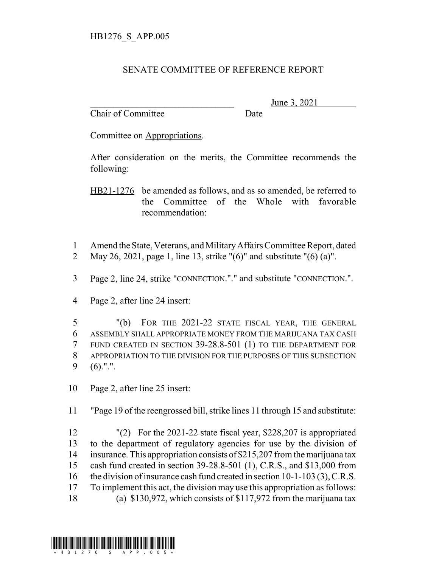## SENATE COMMITTEE OF REFERENCE REPORT

Chair of Committee Date

June 3, 2021

Committee on Appropriations.

After consideration on the merits, the Committee recommends the following:

HB21-1276 be amended as follows, and as so amended, be referred to the Committee of the Whole with favorable recommendation:

- Amend the State, Veterans, and Military Affairs Committee Report, dated
- May 26, 2021, page 1, line 13, strike "(6)" and substitute "(6) (a)".
- Page 2, line 24, strike "CONNECTION."." and substitute "CONNECTION.".
- Page 2, after line 24 insert:

 "(b) FOR THE 2021-22 STATE FISCAL YEAR, THE GENERAL ASSEMBLY SHALL APPROPRIATE MONEY FROM THE MARIJUANA TAX CASH FUND CREATED IN SECTION 39-28.8-501 (1) TO THE DEPARTMENT FOR APPROPRIATION TO THE DIVISION FOR THE PURPOSES OF THIS SUBSECTION (6).".".

Page 2, after line 25 insert:

"Page 19 of the reengrossed bill, strike lines 11 through 15 and substitute:

 "(2) For the 2021-22 state fiscal year, \$228,207 is appropriated to the department of regulatory agencies for use by the division of insurance. This appropriation consists of \$215,207 from the marijuana tax cash fund created in section 39-28.8-501 (1), C.R.S., and \$13,000 from the division of insurance cash fund created in section 10-1-103 (3), C.R.S. To implement this act, the division may use this appropriation as follows: (a) \$130,972, which consists of \$117,972 from the marijuana tax